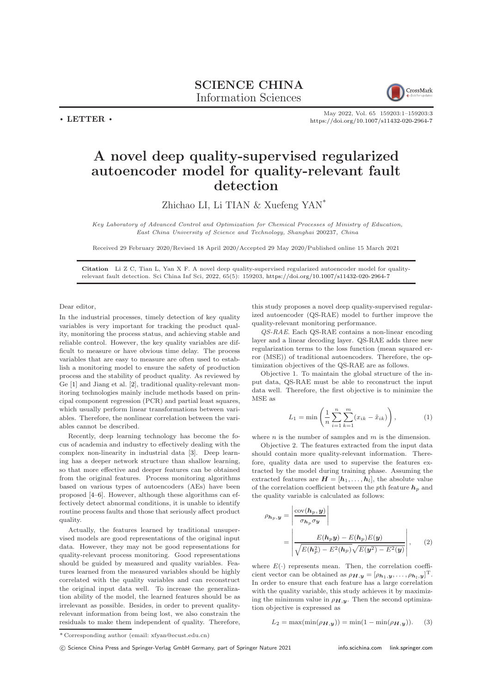SCIENCE CHINA Information Sciences



 $\cdot$  LETTER  $\cdot$ 

May 2022, Vol. 65 159203:1–159203[:3](#page-2-0) <https://doi.org/10.1007/s11432-020-2964-7>

## A novel deep quality-supervised regularized autoencoder model for quality-relevant fault detection

Zhichao LI, Li TIAN & Xuefeng YAN\*

Key Laboratory of Advanced Control and Optimization for Chemical Processes of Ministry of Education, East China University of Science and Technology, Shanghai 200237, China

Received 29 February 2020/Revised 18 April 2020/Accepted 29 May 2020/Published online 15 March 2021

Citation Li Z C, Tian L, Yan X F. A novel deep quality-supervised regularized autoencoder model for qualityrelevant fault detection. Sci China Inf Sci, 2022, 65(5): 159203, <https://doi.org/10.1007/s11432-020-2964-7>

Dear editor,

In the industrial processes, timely detection of key quality variables is very important for tracking the product quality, monitoring the process status, and achieving stable and reliable control. However, the key quality variables are difficult to measure or have obvious time delay. The process variables that are easy to measure are often used to establish a monitoring model to ensure the safety of production process and the stability of product quality. As reviewed by Ge [\[1\]](#page-2-1) and Jiang et al. [\[2\]](#page-2-2), traditional quality-relevant monitoring technologies mainly include methods based on principal component regression (PCR) and partial least squares, which usually perform linear transformations between variables. Therefore, the nonlinear correlation between the variables cannot be described.

Recently, deep learning technology has become the focus of academia and industry to effectively dealing with the complex non-linearity in industrial data [\[3\]](#page-2-3). Deep learning has a deeper network structure than shallow learning, so that more effective and deeper features can be obtained from the original features. Process monitoring algorithms based on various types of autoencoders (AEs) have been proposed [\[4–](#page-2-4)[6\]](#page-2-5). However, although these algorithms can effectively detect abnormal conditions, it is unable to identify routine process faults and those that seriously affect product quality.

Actually, the features learned by traditional unsupervised models are good representations of the original input data. However, they may not be good representations for quality-relevant process monitoring. Good representations should be guided by measured and quality variables. Features learned from the measured variables should be highly correlated with the quality variables and can reconstruct the original input data well. To increase the generalization ability of the model, the learned features should be as irrelevant as possible. Besides, in order to prevent qualityrelevant information from being lost, we also constrain the residuals to make them independent of quality. Therefore,

this study proposes a novel deep quality-supervised regularized autoencoder (QS-RAE) model to further improve the quality-relevant monitoring performance.

QS-RAE. Each QS-RAE contains a non-linear encoding layer and a linear decoding layer. QS-RAE adds three new regularization terms to the loss function (mean squared error (MSE)) of traditional autoencoders. Therefore, the optimization objectives of the QS-RAE are as follows.

Objective 1. To maintain the global structure of the input data, QS-RAE must be able to reconstruct the input data well. Therefore, the first objective is to minimize the MSE as

$$
L_1 = \min\left(\frac{1}{n}\sum_{i=1}^n \sum_{k=1}^m (x_{ik} - \tilde{x}_{ik})\right),\tag{1}
$$

where  $n$  is the number of samples and  $m$  is the dimension.

Objective 2. The features extracted from the input data should contain more quality-relevant information. Therefore, quality data are used to supervise the features extracted by the model during training phase. Assuming the extracted features are  $H = [h_1, \ldots, h_l]$ , the absolute value of the correlation coefficient between the pth feature  $h_p$  and the quality variable is calculated as follows:

$$
\rho_{\mathbf{h}_p, \mathbf{y}} = \left| \frac{\text{cov}(\mathbf{h}_p, \mathbf{y})}{\sigma_{\mathbf{h}_p} \sigma_{\mathbf{y}}} \right|
$$
  
= 
$$
\left| \frac{E(\mathbf{h}_p, \mathbf{y}) - E(\mathbf{h}_p)E(\mathbf{y})}{\sqrt{E(\mathbf{h}_p^2) - E^2(\mathbf{h}_p)} \sqrt{E(\mathbf{y}^2) - E^2(\mathbf{y})}} \right|,
$$
(2)

where  $E(\cdot)$  represents mean. Then, the correlation coefficient vector can be obtained as  $\rho_{\boldsymbol{H},\boldsymbol{y}} = [\rho_{\boldsymbol{h}_1,\boldsymbol{y}}, \ldots, \rho_{\boldsymbol{h}_l,\boldsymbol{y}}]^{\mathrm{T}}$ . In order to ensure that each feature has a large correlation with the quality variable, this study achieves it by maximizing the minimum value in  $\rho_{H,y}$ . Then the second optimization objective is expressed as

$$
L_2 = \max(\min(\rho_{H,y})) = \min(1 - \min(\rho_{H,y})).
$$
 (3)

<sup>\*</sup> Corresponding author (email: xfyan@ecust.edu.cn)

c Science China Press and Springer-Verlag GmbH Germany, part of Springer Nature 2021 <info.scichina.com><link.springer.com>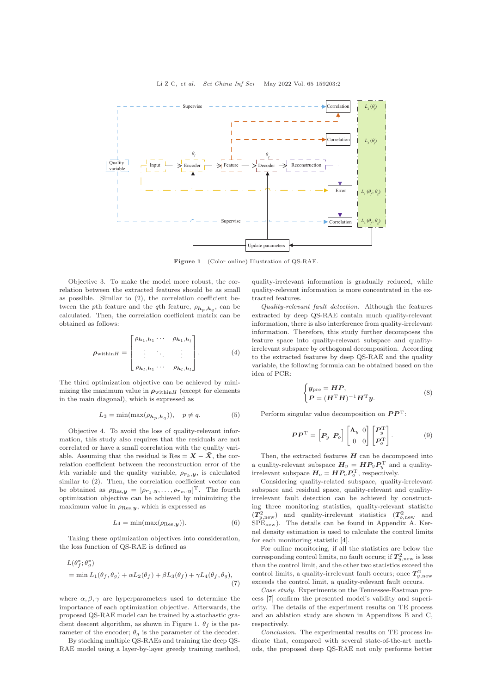

Figure 1 (Color online) Illustration of OS-RAE.

Objective 3. To make the model more robust, the correlation between the extracted features should be as small as possible. Similar to (2), the correlation coefficient between the pth feature and the qth feature,  $\rho_{h_p,h_q}$ , can be calculated. Then, the correlation coefficient matrix can be obtained as follows:

$$
\rho_{\text{within}H} = \begin{bmatrix} \rho_{h_1, h_1} & \cdots & \rho_{h_1, h_l} \\ \vdots & \ddots & \vdots \\ \rho_{h_l, h_1} & \cdots & \rho_{h_l, h_l} \end{bmatrix} . \tag{4}
$$

The third optimization objective can be achieved by minimizing the maximum value in  $\rho_{\text{within}H}$  (except for elements in the main diagonal), which is expressed as

$$
L_3 = \min(\max(\rho_{h_p, h_q})), \quad p \neq q. \tag{5}
$$

Objective 4. To avoid the loss of quality-relevant information, this study also requires that the residuals are not correlated or have a small correlation with the quality variable. Assuming that the residual is Res =  $\tilde{X}$  –  $\tilde{X}$ , the correlation coefficient between the reconstruction error of the kth variable and the quality variable,  $\rho_{r_k,y}$ , is calculated similar to (2). Then, the correlation coefficient vector can be obtained as  $\rho_{\text{Res},y} = [\rho_{\bm{r}_1,\bm{y}}, \ldots, \rho_{\bm{r}_m,\bm{y}}]^{\text{T}}$ . The fourth optimization objective can be achieved by minimizing the maximum value in  $\rho_{\text{Res},y}$ , which is expressed as

$$
L_4 = \min(\max(\rho_{\text{Res},y})).\tag{6}
$$

Taking these optimization objectives into consideration, the loss function of QS-RAE is defined as

$$
L(\theta_f^*, \theta_g^*)
$$
  
= min  $L_1(\theta_f, \theta_g) + \alpha L_2(\theta_f) + \beta L_3(\theta_f) + \gamma L_4(\theta_f, \theta_g)$ , (7)

where  $\alpha, \beta, \gamma$  are hyperparameters used to determine the importance of each optimization objective. Afterwards, the proposed QS-RAE model can be trained by a stochastic gradient descent algorithm, as shown in Figure 1.  $\theta_f$  is the parameter of the encoder;  $\theta_g$  is the parameter of the decoder.

By stacking multiple QS-RAEs and training the deep QS-RAE model using a layer-by-layer greedy training method, quality-irrelevant information is gradually reduced, while quality-relevant information is more concentrated in the extracted features.

Quality-relevant fault detection. Although the features extracted by deep QS-RAE contain much quality-relevant information, there is also interference from quality-irrelevant information. Therefore, this study further decomposes the feature space into quality-relevant subspace and qualityirrelevant subspace by orthogonal decomposition. According to the extracted features by deep QS-RAE and the quality variable, the following formula can be obtained based on the idea of PCR:

$$
\begin{cases} \boldsymbol{y}_{\text{pre}} = \boldsymbol{H}\boldsymbol{P}, \\ \boldsymbol{P} = (\boldsymbol{H}^{\text{T}}\boldsymbol{H})^{-1}\boldsymbol{H}^{\text{T}}\boldsymbol{y}. \end{cases} \tag{8}
$$

Perform singular value decomposition on  $\boldsymbol{P}\boldsymbol{P}^{\mathrm{T}}$ :

$$
PP^{\mathrm{T}} = \begin{bmatrix} P_y & P_o \end{bmatrix} \begin{bmatrix} \Lambda_y & 0 \\ 0 & 0 \end{bmatrix} \begin{bmatrix} P_y^{\mathrm{T}} \\ P_o^{\mathrm{T}} \end{bmatrix} . \tag{9}
$$

Then, the extracted features  $H$  can be decomposed into a quality-relevant subspace  $H_y = H P_y P_y^{\mathrm{T}}$  and a qualityirrelevant subspace  $H_o = HP_oP_o^T$ , respectively.

Considering quality-related subspace, quality-irrelevant subspace and residual space, quality-relevant and qualityirrelevant fault detection can be achieved by constructing three monitoring statistics, quality-relevant statisitc  $(T_{y,\text{new}}^2)$  and quality-irrelevant statistics  $(T_{o,\text{new}}^2)$  and SPEnew). The details can be found in Appendix A. Kernel density estimation is used to calculate the control limits for each monitoring statistic [\[4\]](#page-2-4).

For online monitoring, if all the statistics are below the corresponding control limits, no fault occurs; if  $T^2_{y,\mathrm{new}}$  is less than the control limit, and the other two statistics exceed the control limits, a quality-irrelevant fault occurs; once  $T_{y,\text{new}}^2$ exceeds the control limit, a quality-relevant fault occurs.

Case study. Experiments on the Tennessee-Eastman process [\[7\]](#page-2-6) confirm the presented model's validity and superiority. The details of the experiment results on TE process and an ablation study are shown in Appendixes B and C, respectively.

Conclusion. The experimental results on TE process indicate that, compared with several state-of-the-art methods, the proposed deep QS-RAE not only performs better